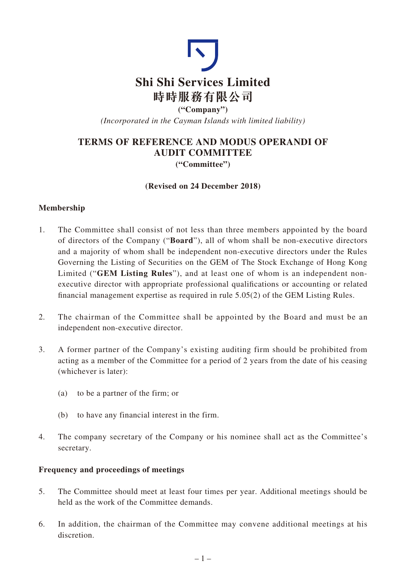

**("Company")** *(Incorporated in the Cayman Islands with limited liability)*

# **TERMS OF REFERENCE AND MODUS OPERANDI OF AUDIT COMMITTEE ("Committee")**

### **(Revised on 24 December 2018)**

### **Membership**

- 1. The Committee shall consist of not less than three members appointed by the board of directors of the Company ("**Board**"), all of whom shall be non-executive directors and a majority of whom shall be independent non-executive directors under the Rules Governing the Listing of Securities on the GEM of The Stock Exchange of Hong Kong Limited ("**GEM Listing Rules**"), and at least one of whom is an independent nonexecutive director with appropriate professional qualifications or accounting or related financial management expertise as required in rule 5.05(2) of the GEM Listing Rules.
- 2. The chairman of the Committee shall be appointed by the Board and must be an independent non-executive director.
- 3. A former partner of the Company's existing auditing firm should be prohibited from acting as a member of the Committee for a period of 2 years from the date of his ceasing (whichever is later):
	- (a) to be a partner of the firm; or
	- (b) to have any financial interest in the firm.
- 4. The company secretary of the Company or his nominee shall act as the Committee's secretary.

#### **Frequency and proceedings of meetings**

- 5. The Committee should meet at least four times per year. Additional meetings should be held as the work of the Committee demands.
- 6. In addition, the chairman of the Committee may convene additional meetings at his discretion.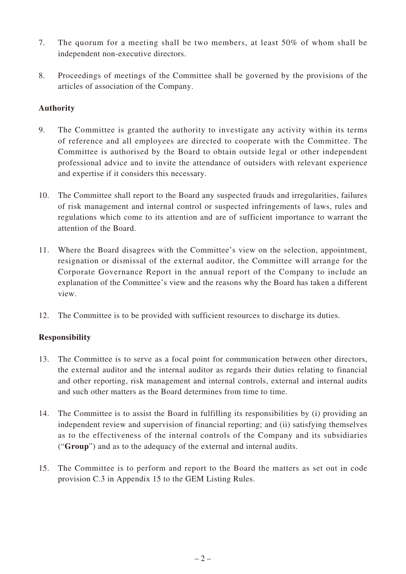- 7. The quorum for a meeting shall be two members, at least 50% of whom shall be independent non-executive directors.
- 8. Proceedings of meetings of the Committee shall be governed by the provisions of the articles of association of the Company.

### **Authority**

- 9. The Committee is granted the authority to investigate any activity within its terms of reference and all employees are directed to cooperate with the Committee. The Committee is authorised by the Board to obtain outside legal or other independent professional advice and to invite the attendance of outsiders with relevant experience and expertise if it considers this necessary.
- 10. The Committee shall report to the Board any suspected frauds and irregularities, failures of risk management and internal control or suspected infringements of laws, rules and regulations which come to its attention and are of sufficient importance to warrant the attention of the Board.
- 11. Where the Board disagrees with the Committee's view on the selection, appointment, resignation or dismissal of the external auditor, the Committee will arrange for the Corporate Governance Report in the annual report of the Company to include an explanation of the Committee's view and the reasons why the Board has taken a different view.
- 12. The Committee is to be provided with sufficient resources to discharge its duties.

## **Responsibility**

- 13. The Committee is to serve as a focal point for communication between other directors, the external auditor and the internal auditor as regards their duties relating to financial and other reporting, risk management and internal controls, external and internal audits and such other matters as the Board determines from time to time.
- 14. The Committee is to assist the Board in fulfilling its responsibilities by (i) providing an independent review and supervision of financial reporting; and (ii) satisfying themselves as to the effectiveness of the internal controls of the Company and its subsidiaries ("**Group**") and as to the adequacy of the external and internal audits.
- 15. The Committee is to perform and report to the Board the matters as set out in code provision C.3 in Appendix 15 to the GEM Listing Rules.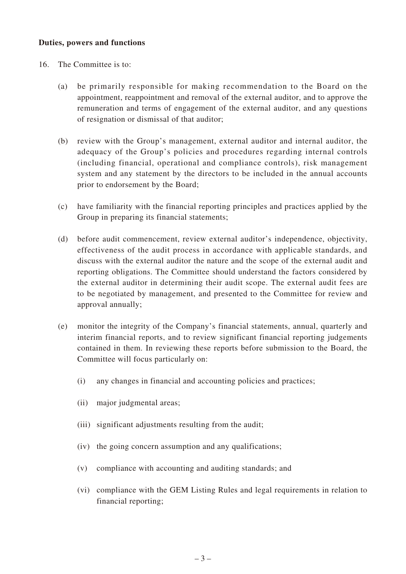#### **Duties, powers and functions**

- 16. The Committee is to:
	- (a) be primarily responsible for making recommendation to the Board on the appointment, reappointment and removal of the external auditor, and to approve the remuneration and terms of engagement of the external auditor, and any questions of resignation or dismissal of that auditor;
	- (b) review with the Group's management, external auditor and internal auditor, the adequacy of the Group's policies and procedures regarding internal controls (including financial, operational and compliance controls), risk management system and any statement by the directors to be included in the annual accounts prior to endorsement by the Board;
	- (c) have familiarity with the financial reporting principles and practices applied by the Group in preparing its financial statements;
	- (d) before audit commencement, review external auditor's independence, objectivity, effectiveness of the audit process in accordance with applicable standards, and discuss with the external auditor the nature and the scope of the external audit and reporting obligations. The Committee should understand the factors considered by the external auditor in determining their audit scope. The external audit fees are to be negotiated by management, and presented to the Committee for review and approval annually;
	- (e) monitor the integrity of the Company's financial statements, annual, quarterly and interim financial reports, and to review significant financial reporting judgements contained in them. In reviewing these reports before submission to the Board, the Committee will focus particularly on:
		- (i) any changes in financial and accounting policies and practices;
		- (ii) major judgmental areas;
		- (iii) significant adjustments resulting from the audit;
		- (iv) the going concern assumption and any qualifications;
		- (v) compliance with accounting and auditing standards; and
		- (vi) compliance with the GEM Listing Rules and legal requirements in relation to financial reporting;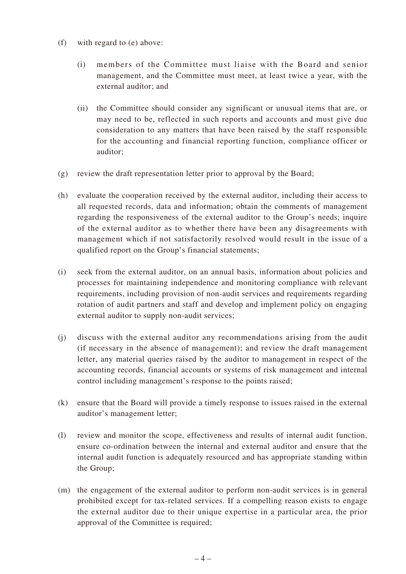- (f) with regard to (e) above:
	- (i) members of the Committee must liaise with the Board and senior management, and the Committee must meet, at least twice a year, with the external auditor; and
	- (ii) the Committee should consider any significant or unusual items that are, or may need to be, reflected in such reports and accounts and must give due consideration to any matters that have been raised by the staff responsible for the accounting and financial reporting function, compliance officer or auditor;
- (g) review the draft representation letter prior to approval by the Board;
- (h) evaluate the cooperation received by the external auditor, including their access to all requested records, data and information; obtain the comments of management regarding the responsiveness of the external auditor to the Group's needs; inquire of the external auditor as to whether there have been any disagreements with management which if not satisfactorily resolved would result in the issue of a qualified report on the Group's financial statements;
- (i) seek from the external auditor, on an annual basis, information about policies and processes for maintaining independence and monitoring compliance with relevant requirements, including provision of non-audit services and requirements regarding rotation of audit partners and staff and develop and implement policy on engaging external auditor to supply non-audit services;
- (j) discuss with the external auditor any recommendations arising from the audit (if necessary in the absence of management); and review the draft management letter, any material queries raised by the auditor to management in respect of the accounting records, financial accounts or systems of risk management and internal control including management's response to the points raised;
- (k) ensure that the Board will provide a timely response to issues raised in the external auditor's management letter;
- (l) review and monitor the scope, effectiveness and results of internal audit function, ensure co-ordination between the internal and external auditor and ensure that the internal audit function is adequately resourced and has appropriate standing within the Group;
- (m) the engagement of the external auditor to perform non-audit services is in general prohibited except for tax-related services. If a compelling reason exists to engage the external auditor due to their unique expertise in a particular area, the prior approval of the Committee is required;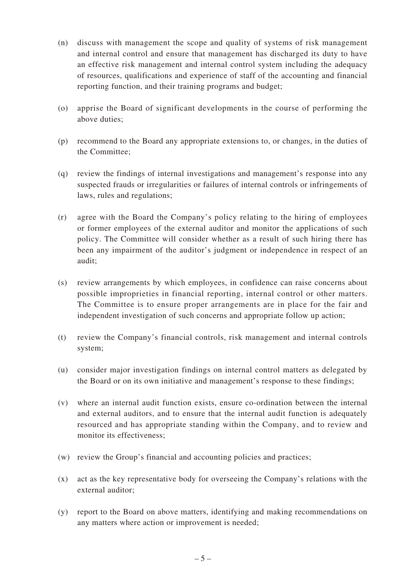- (n) discuss with management the scope and quality of systems of risk management and internal control and ensure that management has discharged its duty to have an effective risk management and internal control system including the adequacy of resources, qualifications and experience of staff of the accounting and financial reporting function, and their training programs and budget;
- (o) apprise the Board of significant developments in the course of performing the above duties;
- (p) recommend to the Board any appropriate extensions to, or changes, in the duties of the Committee;
- (q) review the findings of internal investigations and management's response into any suspected frauds or irregularities or failures of internal controls or infringements of laws, rules and regulations;
- (r) agree with the Board the Company's policy relating to the hiring of employees or former employees of the external auditor and monitor the applications of such policy. The Committee will consider whether as a result of such hiring there has been any impairment of the auditor's judgment or independence in respect of an audit;
- (s) review arrangements by which employees, in confidence can raise concerns about possible improprieties in financial reporting, internal control or other matters. The Committee is to ensure proper arrangements are in place for the fair and independent investigation of such concerns and appropriate follow up action;
- (t) review the Company's financial controls, risk management and internal controls system;
- (u) consider major investigation findings on internal control matters as delegated by the Board or on its own initiative and management's response to these findings;
- (v) where an internal audit function exists, ensure co-ordination between the internal and external auditors, and to ensure that the internal audit function is adequately resourced and has appropriate standing within the Company, and to review and monitor its effectiveness;
- (w) review the Group's financial and accounting policies and practices;
- (x) act as the key representative body for overseeing the Company's relations with the external auditor;
- (y) report to the Board on above matters, identifying and making recommendations on any matters where action or improvement is needed;